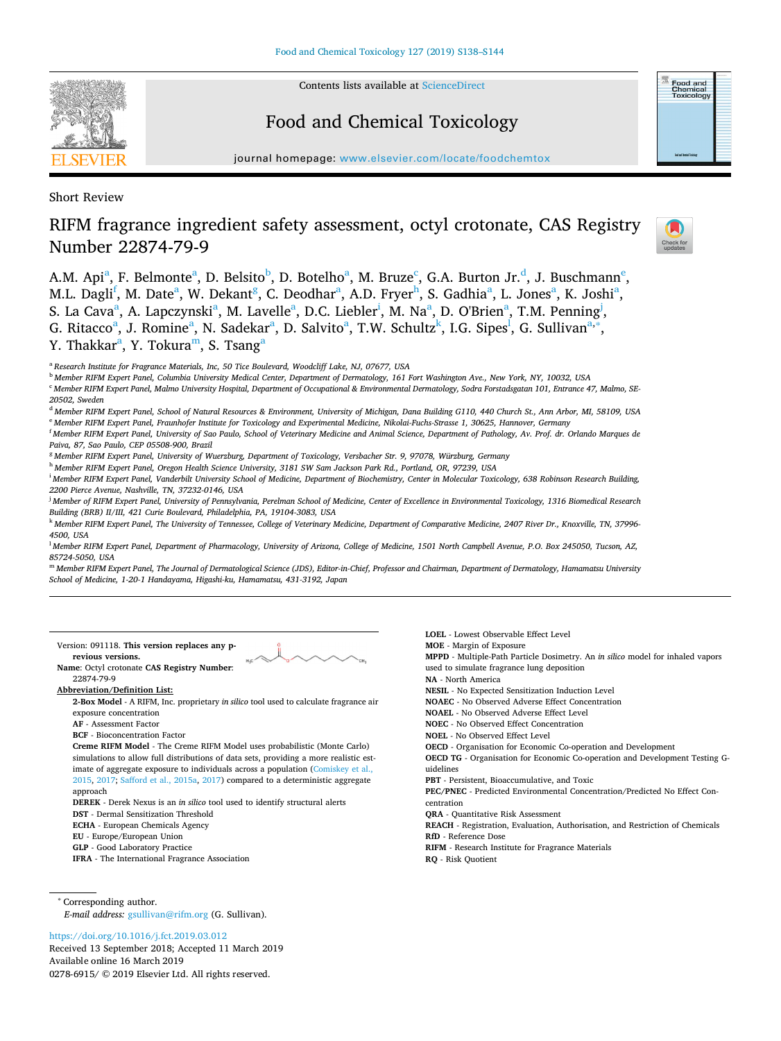

Contents lists available at [ScienceDirect](http://www.sciencedirect.com/science/journal/02786915)

# Food and Chemical Toxicology



journal homepage: [www.elsevier.com/locate/foodchemtox](https://www.elsevier.com/locate/foodchemtox)

Short Review

# RIFM fragrance ingredient safety assessment, octyl crotonate, CAS Registry Number 22874-79-9



A.M. Api<sup>[a](#page-0-0)</sup>, F. Belmonte<sup>a</sup>, D. Belsito<sup>[b](#page-0-1)</sup>, D. Botelho<sup>a</sup>, M. Bruze<sup>[c](#page-0-2)</sup>, G.A. Burton Jr.<sup>[d](#page-0-3)</sup>, J. Buschmann<sup>[e](#page-0-4)</sup>, M.L. Dagli<sup>[f](#page-0-5)</sup>, M. D[a](#page-0-0)te<sup>a</sup>, W. Dekant<sup>[g](#page-0-6)</sup>, C. Deod[h](#page-0-7)ar<sup>a</sup>, A.D. Fryer<sup>h</sup>, S. Gadhia<sup>a</sup>, L. Jones<sup>a</sup>, K. Joshi<sup>a</sup>, S. L[a](#page-0-0) Cava<sup>a</sup>, A. Lapczynsk[i](#page-0-8)<sup>a</sup>, M. Lavelle<sup>a</sup>, D.C. Liebler<sup>i</sup>, M. Na<sup>a</sup>, D. O'Brien<sup>a</sup>, T.M. Penning<sup>[j](#page-0-9)</sup>, G. Rit[a](#page-0-0)cco<sup>a</sup>, J. Romine<sup>a</sup>, N. Sadekar<sup>a</sup>, D. Salvito<sup>a</sup>, T.W. Schultz<sup>k</sup>, I.G. Sipes<sup>l</sup>, G. Sullivan<sup>a,\*</sup>, Y. Th[a](#page-0-0)kkar<sup>a</sup>, Y. Tokura<sup>m</sup>, S. Tsang<sup>a</sup>

<span id="page-0-0"></span><sup>a</sup> *Research Institute for Fragrance Materials, Inc, 50 Tice Boulevard, Woodcliff Lake, NJ, 07677, USA*

<span id="page-0-1"></span><sup>b</sup> *Member RIFM Expert Panel, Columbia University Medical Center, Department of Dermatology, 161 Fort Washington Ave., New York, NY, 10032, USA*

<span id="page-0-2"></span><sup>c</sup> *Member RIFM Expert Panel, Malmo University Hospital, Department of Occupational & Environmental Dermatology, Sodra Forstadsgatan 101, Entrance 47, Malmo, SE-20502, Sweden*

<span id="page-0-4"></span><span id="page-0-3"></span><sup>d</sup> *Member RIFM Expert Panel, School of Natural Resources & Environment, University of Michigan, Dana Building G110, 440 Church St., Ann Arbor, MI, 58109, USA* <sup>e</sup> *Member RIFM Expert Panel, Fraunhofer Institute for Toxicology and Experimental Medicine, Nikolai-Fuchs-Strasse 1, 30625, Hannover, Germany*

<span id="page-0-5"></span>f *Member RIFM Expert Panel, University of Sao Paulo, School of Veterinary Medicine and Animal Science, Department of Pathology, Av. Prof. dr. Orlando Marques de Paiva, 87, Sao Paulo, CEP 05508-900, Brazil*

<span id="page-0-6"></span><sup>g</sup> *Member RIFM Expert Panel, University of Wuerzburg, Department of Toxicology, Versbacher Str. 9, 97078, Würzburg, Germany*

<span id="page-0-7"></span><sup>h</sup> *Member RIFM Expert Panel, Oregon Health Science University, 3181 SW Sam Jackson Park Rd., Portland, OR, 97239, USA*

<span id="page-0-8"></span>i *Member RIFM Expert Panel, Vanderbilt University School of Medicine, Department of Biochemistry, Center in Molecular Toxicology, 638 Robinson Research Building, 2200 Pierce Avenue, Nashville, TN, 37232-0146, USA*

<span id="page-0-9"></span>j *Member of RIFM Expert Panel, University of Pennsylvania, Perelman School of Medicine, Center of Excellence in Environmental Toxicology, 1316 Biomedical Research Building (BRB) II/III, 421 Curie Boulevard, Philadelphia, PA, 19104-3083, USA*

<span id="page-0-10"></span><sup>k</sup> *Member RIFM Expert Panel, The University of Tennessee, College of Veterinary Medicine, Department of Comparative Medicine, 2407 River Dr., Knoxville, TN, 37996- 4500, USA*

<span id="page-0-11"></span>l *Member RIFM Expert Panel, Department of Pharmacology, University of Arizona, College of Medicine, 1501 North Campbell Avenue, P.O. Box 245050, Tucson, AZ, 85724-5050, USA*

<span id="page-0-13"></span><sup>m</sup> *Member RIFM Expert Panel, The Journal of Dermatological Science (JDS), Editor-in-Chief, Professor and Chairman, Department of Dermatology, Hamamatsu University School of Medicine, 1-20-1 Handayama, Higashi-ku, Hamamatsu, 431-3192, Japan*

Version: 091118. **This version replaces any previous versions.**

**Name**: Octyl crotonate **CAS Registry Number**: 22874-79-9

**Abbreviation/Definition List:**

**2-Box Model** - A RIFM, Inc. proprietary *in silico* tool used to calculate fragrance air exposure concentration

**AF** - Assessment Factor

**BCF** - Bioconcentration Factor

**Creme RIFM Model** - The Creme RIFM Model uses probabilistic (Monte Carlo) simulations to allow full distributions of data sets, providing a more realistic estimate of aggregate exposure to individuals across a population [\(Comiskey et al.,](#page-5-0) [2015,](#page-5-0) [2017](#page-5-1); [Safford et al., 2015a](#page-6-0), [2017\)](#page-6-1) compared to a deterministic aggregate approach

**DEREK** - Derek Nexus is an *in silico* tool used to identify structural alerts

**DST** - Dermal Sensitization Threshold

**ECHA** - European Chemicals Agency

**EU** - Europe/European Union

**GLP** - Good Laboratory Practice

**IFRA** - The International Fragrance Association

<span id="page-0-12"></span><sup>∗</sup> Corresponding author. *E-mail address:* [gsullivan@rifm.org](mailto:gsullivan@rifm.org) (G. Sullivan).

<https://doi.org/10.1016/j.fct.2019.03.012>

Received 13 September 2018; Accepted 11 March 2019 Available online 16 March 2019 0278-6915/ © 2019 Elsevier Ltd. All rights reserved.

**LOEL** - Lowest Observable Effect Level **MOE** - Margin of Exposure **MPPD** - Multiple-Path Particle Dosimetry. An *in silico* model for inhaled vapors used to simulate fragrance lung deposition **NA** - North America **NESIL** - No Expected Sensitization Induction Level **NOAEC** - No Observed Adverse Effect Concentration **NOAEL** - No Observed Adverse Effect Level **NOEC** - No Observed Effect Concentration **NOEL** - No Observed Effect Level **OECD** - Organisation for Economic Co-operation and Development **OECD TG** - Organisation for Economic Co-operation and Development Testing Guidelines **PBT** - Persistent, Bioaccumulative, and Toxic **PEC/PNEC** - Predicted Environmental Concentration/Predicted No Effect Concentration **QRA** - Quantitative Risk Assessment **REACH** - Registration, Evaluation, Authorisation, and Restriction of Chemicals **RfD** - Reference Dose **RIFM** - Research Institute for Fragrance Materials **RQ** - Risk Quotient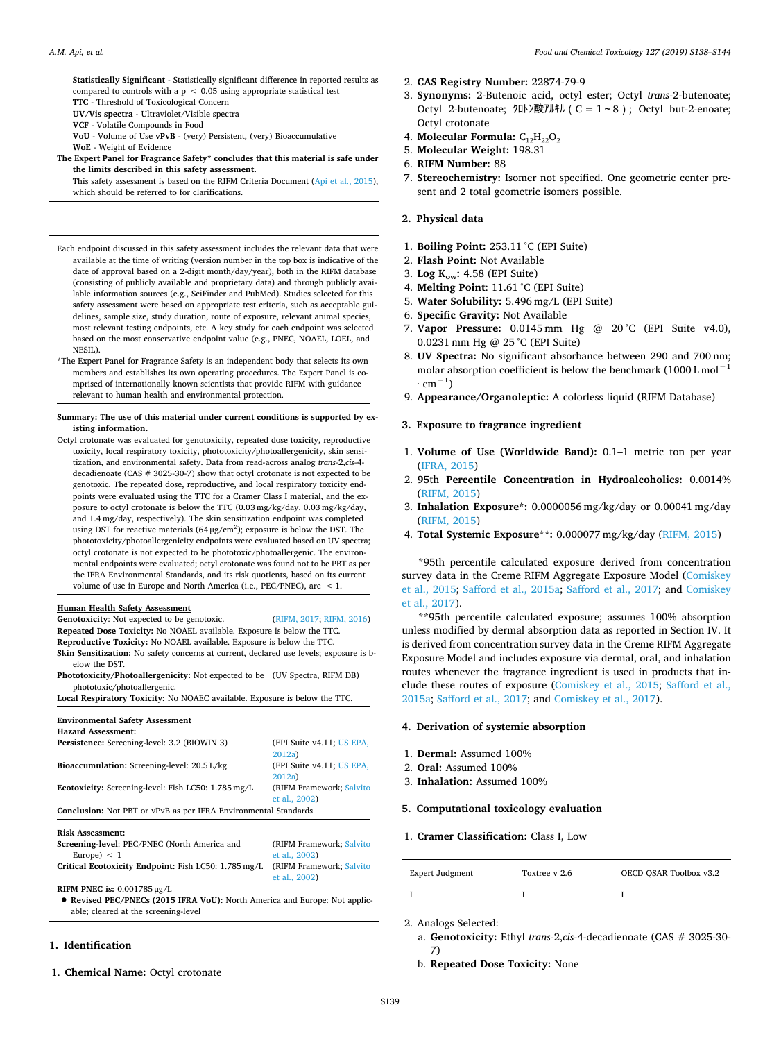**Statistically Significant** - Statistically significant difference in reported results as compared to controls with a  $p < 0.05$  using appropriate statistical test **TTC** - Threshold of Toxicological Concern

**UV/Vis spectra** - Ultraviolet/Visible spectra

**VCF** - Volatile Compounds in Food

**VoU** - Volume of Use **vPvB** - (very) Persistent, (very) Bioaccumulative **WoE** - Weight of Evidence

**The Expert Panel for Fragrance Safety\* concludes that this material is safe under the limits described in this safety assessment.**

This safety assessment is based on the RIFM Criteria Document [\(Api et al., 2015](#page-5-2)), which should be referred to for clarifications.

- Each endpoint discussed in this safety assessment includes the relevant data that were available at the time of writing (version number in the top box is indicative of the date of approval based on a 2-digit month/day/year), both in the RIFM database (consisting of publicly available and proprietary data) and through publicly available information sources (e.g., SciFinder and PubMed). Studies selected for this safety assessment were based on appropriate test criteria, such as acceptable guidelines, sample size, study duration, route of exposure, relevant animal species, most relevant testing endpoints, etc. A key study for each endpoint was selected based on the most conservative endpoint value (e.g., PNEC, NOAEL, LOEL, and NESIL).
- \*The Expert Panel for Fragrance Safety is an independent body that selects its own members and establishes its own operating procedures. The Expert Panel is comprised of internationally known scientists that provide RIFM with guidance relevant to human health and environmental protection.

#### **Summary: The use of this material under current conditions is supported by existing information.**

Octyl crotonate was evaluated for genotoxicity, repeated dose toxicity, reproductive toxicity, local respiratory toxicity, phototoxicity/photoallergenicity, skin sensitization, and environmental safety. Data from read-across analog *trans-*2,*cis-*4 decadienoate (CAS # 3025-30-7) show that octyl crotonate is not expected to be genotoxic. The repeated dose, reproductive, and local respiratory toxicity endpoints were evaluated using the TTC for a Cramer Class I material, and the exposure to octyl crotonate is below the TTC  $(0.03 \text{ mg/kg/day}, 0.03 \text{ mg/kg/day})$ and 1.4 mg/day, respectively). The skin sensitization endpoint was completed using DST for reactive materials  $(64 \,\mu\text{g/cm}^2)$ ; exposure is below the DST. The phototoxicity/photoallergenicity endpoints were evaluated based on UV spectra; octyl crotonate is not expected to be phototoxic/photoallergenic. The environmental endpoints were evaluated; octyl crotonate was found not to be PBT as per the IFRA Environmental Standards, and its risk quotients, based on its current volume of use in Europe and North America (i.e., PEC/PNEC), are < 1.

### **Human Health Safety Assessment**

Genotoxicity: Not expected to be genotoxic. [\(RIFM, 2017](#page-6-2); [RIFM, 2016](#page-6-3)) **Repeated Dose Toxicity:** No NOAEL available. Exposure is below the TTC. **Reproductive Toxicity:** No NOAEL available. Exposure is below the TTC.

- **Skin Sensitization:** No safety concerns at current, declared use levels; exposure is below the DST.
- **Phototoxicity/Photoallergenicity:** Not expected to be (UV Spectra, RIFM DB) phototoxic/photoallergenic.

## **Local Respiratory Toxicity:** No NOAEC available. Exposure is below the TTC.

## **Environmental Safety Assessment**

| <b>Hazard Assessment:</b>                                              |                                           |  |  |  |  |
|------------------------------------------------------------------------|-------------------------------------------|--|--|--|--|
| Persistence: Screening-level: 3.2 (BIOWIN 3)                           | (EPI Suite v4.11; US EPA,<br>2012a        |  |  |  |  |
| Bioaccumulation: Screening-level: 20.5 L/kg                            | (EPI Suite v4.11; US EPA,<br>2012a        |  |  |  |  |
| Ecotoxicity: Screening-level: Fish LC50: 1.785 mg/L                    | (RIFM Framework; Salvito<br>et al., 2002) |  |  |  |  |
| <b>Conclusion:</b> Not PBT or vPvB as per IFRA Environmental Standards |                                           |  |  |  |  |
| <b>Risk Assessment:</b>                                                |                                           |  |  |  |  |

| Screening-level: PEC/PNEC (North America and         | (RIFM Framework; Salvito  |
|------------------------------------------------------|---------------------------|
| Europe $\epsilon$ < 1                                | et al., 2002)             |
| Critical Ecotoxicity Endpoint: Fish LC50: 1.785 mg/L | (RIFM Framework: Salvito) |
|                                                      | et al., 2002)             |

**RIFM PNEC is:** 0.001785 μg/L

• **Revised PEC/PNECs (2015 IFRA VoU):** North America and Europe: Not applicable; cleared at the screening-level

## **1. Identification**

1. **Chemical Name:** Octyl crotonate

- 2. **CAS Registry Number:** 22874-79-9
- 3. **Synonyms:** 2-Butenoic acid, octyl ester; Octyl *trans-*2-butenoate; Octyl 2-butenoate; クロトン酸アルキル ( $C = 1 - 8$ ); Octyl but-2-enoate; Octyl crotonate
- 4. **Molecular Formula:** C₁₂H₂₂O₂
- 5. **Molecular Weight:** 198.31
- 6. **RIFM Number:** 88
- 7. **Stereochemistry:** Isomer not specified. One geometric center present and 2 total geometric isomers possible.

## **2. Physical data**

- 1. **Boiling Point:** 253.11 °C (EPI Suite)
- 2. **Flash Point:** Not Available
- 3. **Log Kow:** 4.58 (EPI Suite)
- 4. **Melting Point**: 11.61 °C (EPI Suite)
- 5. **Water Solubility:** 5.496 mg/L (EPI Suite)
- 6. **Specific Gravity:** Not Available
- 7. **Vapor Pressure:** 0.0145 mm Hg @ 20 °C (EPI Suite v4.0), 0.0231 mm Hg @ 25 °C (EPI Suite)
- 8. **UV Spectra:** No significant absorbance between 290 and 700 nm; molar absorption coefficient is below the benchmark  $(1000 \text{ L mol}^{-1}$  $\cdot$  cm<sup>-1</sup>)
- 9. **Appearance/Organoleptic:** A colorless liquid (RIFM Database)
- **3. Exposure to fragrance ingredient**
- 1. **Volume of Use (Worldwide Band):** 0.1–1 metric ton per year [\(IFRA, 2015\)](#page-5-3)
- 2. **95**th **Percentile Concentration in Hydroalcoholics:** 0.0014% [\(RIFM, 2015](#page-6-6))
- 3. **Inhalation Exposure\*:** 0.0000056 mg/kg/day or 0.00041 mg/day [\(RIFM, 2015](#page-6-6))
- 4. **Total Systemic Exposure\*\*:** 0.000077 mg/kg/day [\(RIFM, 2015](#page-6-6))

\*95th percentile calculated exposure derived from concentration survey data in the Creme RIFM Aggregate Exposure Model ([Comiskey](#page-5-0) [et al., 2015](#page-5-0); [Safford et al., 2015a](#page-6-0); [Safford et al., 2017](#page-6-1); and [Comiskey](#page-5-1) [et al., 2017](#page-5-1)).

\*\*95th percentile calculated exposure; assumes 100% absorption unless modified by dermal absorption data as reported in Section IV. It is derived from concentration survey data in the Creme RIFM Aggregate Exposure Model and includes exposure via dermal, oral, and inhalation routes whenever the fragrance ingredient is used in products that include these routes of exposure [\(Comiskey et al., 2015;](#page-5-0) [Safford et al.,](#page-6-0) [2015a;](#page-6-0) [Safford et al., 2017](#page-6-1); and [Comiskey et al., 2017](#page-5-1)).

#### **4. Derivation of systemic absorption**

- 1. **Dermal:** Assumed 100%
- 2. **Oral:** Assumed 100%
- 3. **Inhalation:** Assumed 100%

## **5. Computational toxicology evaluation**

#### 1. **Cramer Classification:** Class I, Low

| Expert Judgment | Toxtree v 2.6 | OECD QSAR Toolbox v3.2 |
|-----------------|---------------|------------------------|
|                 |               |                        |

2. Analogs Selected:

- a. **Genotoxicity:** Ethyl *trans-*2,*cis-*4-decadienoate (CAS # 3025-30- 7)
- b. **Repeated Dose Toxicity:** None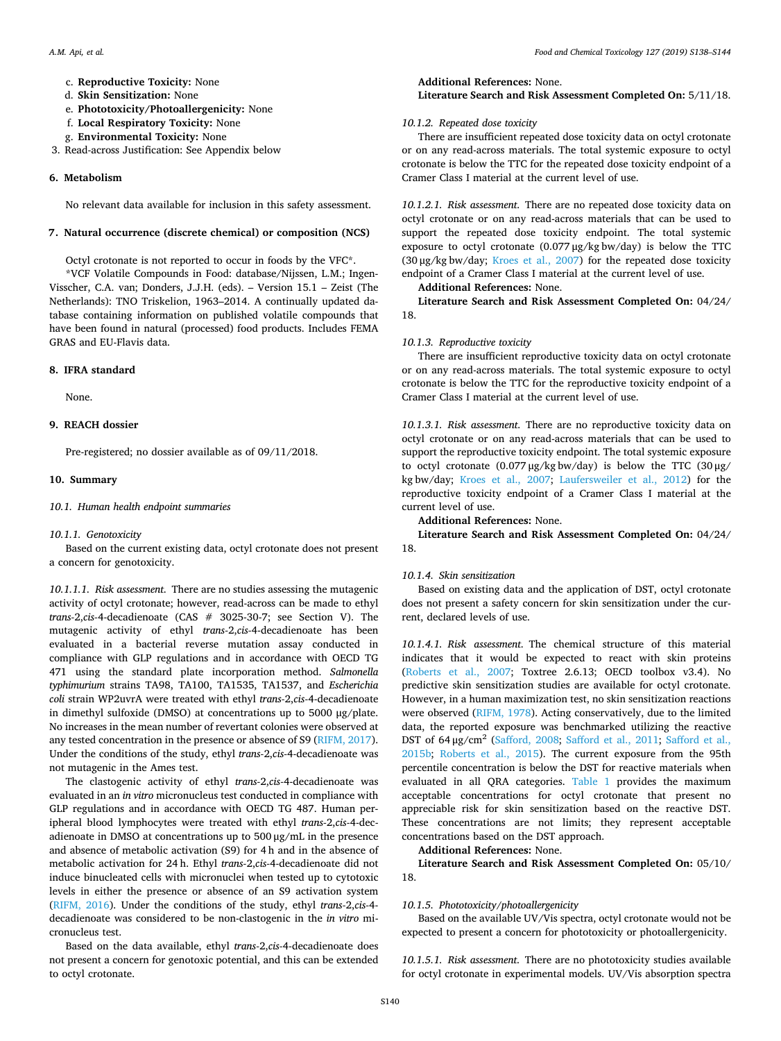- c. **Reproductive Toxicity:** None
- d. **Skin Sensitization:** None
- e. **Phototoxicity/Photoallergenicity:** None
- f. **Local Respiratory Toxicity:** None
- g. **Environmental Toxicity:** None
- 3. Read-across Justification: See Appendix below

## **6. Metabolism**

No relevant data available for inclusion in this safety assessment.

#### **7. Natural occurrence (discrete chemical) or composition (NCS)**

Octyl crotonate is not reported to occur in foods by the VFC\*.

\*VCF Volatile Compounds in Food: database/Nijssen, L.M.; Ingen-Visscher, C.A. van; Donders, J.J.H. (eds). – Version 15.1 – Zeist (The Netherlands): TNO Triskelion, 1963–2014. A continually updated database containing information on published volatile compounds that have been found in natural (processed) food products. Includes FEMA GRAS and EU-Flavis data.

#### **8. IFRA standard**

None.

## **9. REACH dossier**

Pre-registered; no dossier available as of 09/11/2018.

## **10. Summary**

## *10.1. Human health endpoint summaries*

## *10.1.1. Genotoxicity*

Based on the current existing data, octyl crotonate does not present a concern for genotoxicity.

*10.1.1.1. Risk assessment*. There are no studies assessing the mutagenic activity of octyl crotonate; however, read-across can be made to ethyl *trans-*2,*cis-*4-decadienoate (CAS # 3025-30-7; see Section V). The mutagenic activity of ethyl *trans-*2,*cis-*4-decadienoate has been evaluated in a bacterial reverse mutation assay conducted in compliance with GLP regulations and in accordance with OECD TG 471 using the standard plate incorporation method. *Salmonella typhimurium* strains TA98, TA100, TA1535, TA1537, and *Escherichia coli* strain WP2uvrA were treated with ethyl *trans-*2,*cis-*4-decadienoate in dimethyl sulfoxide (DMSO) at concentrations up to 5000 μg/plate. No increases in the mean number of revertant colonies were observed at any tested concentration in the presence or absence of S9 [\(RIFM, 2017](#page-6-2)). Under the conditions of the study, ethyl *trans-*2,*cis-*4-decadienoate was not mutagenic in the Ames test.

The clastogenic activity of ethyl *trans-*2,*cis-*4-decadienoate was evaluated in an *in vitro* micronucleus test conducted in compliance with GLP regulations and in accordance with OECD TG 487. Human peripheral blood lymphocytes were treated with ethyl *trans-*2,*cis-*4-decadienoate in DMSO at concentrations up to 500 μg/mL in the presence and absence of metabolic activation (S9) for 4 h and in the absence of metabolic activation for 24 h. Ethyl *trans-*2,*cis-*4-decadienoate did not induce binucleated cells with micronuclei when tested up to cytotoxic levels in either the presence or absence of an S9 activation system ([RIFM, 2016\)](#page-6-3). Under the conditions of the study, ethyl *trans-*2,*cis-*4 decadienoate was considered to be non-clastogenic in the *in vitro* micronucleus test.

Based on the data available, ethyl *trans-*2,*cis-*4-decadienoate does not present a concern for genotoxic potential, and this can be extended to octyl crotonate.

**Additional References:** None. **Literature Search and Risk Assessment Completed On:** 5/11/18.

## *10.1.2. Repeated dose toxicity*

There are insufficient repeated dose toxicity data on octyl crotonate or on any read-across materials. The total systemic exposure to octyl crotonate is below the TTC for the repeated dose toxicity endpoint of a Cramer Class I material at the current level of use.

*10.1.2.1. Risk assessment*. There are no repeated dose toxicity data on octyl crotonate or on any read-across materials that can be used to support the repeated dose toxicity endpoint. The total systemic exposure to octyl crotonate (0.077 μg/kg bw/day) is below the TTC (30 μg/kg bw/day; [Kroes et al., 2007\)](#page-5-4) for the repeated dose toxicity endpoint of a Cramer Class I material at the current level of use.

## **Additional References:** None.

**Literature Search and Risk Assessment Completed On:** 04/24/ 18.

#### *10.1.3. Reproductive toxicity*

There are insufficient reproductive toxicity data on octyl crotonate or on any read-across materials. The total systemic exposure to octyl crotonate is below the TTC for the reproductive toxicity endpoint of a Cramer Class I material at the current level of use.

*10.1.3.1. Risk assessment*. There are no reproductive toxicity data on octyl crotonate or on any read-across materials that can be used to support the reproductive toxicity endpoint. The total systemic exposure to octyl crotonate (0.077 μg/kg bw/day) is below the TTC (30 μg/ kg bw/day; [Kroes et al., 2007](#page-5-4); [Laufersweiler et al., 2012](#page-6-7)) for the reproductive toxicity endpoint of a Cramer Class I material at the current level of use.

#### **Additional References:** None.

**Literature Search and Risk Assessment Completed On:** 04/24/ 18.

### *10.1.4. Skin sensitization*

Based on existing data and the application of DST, octyl crotonate does not present a safety concern for skin sensitization under the current, declared levels of use.

*10.1.4.1. Risk assessment*. The chemical structure of this material indicates that it would be expected to react with skin proteins ([Roberts et al., 2007;](#page-6-8) Toxtree 2.6.13; OECD toolbox v3.4). No predictive skin sensitization studies are available for octyl crotonate. However, in a human maximization test, no skin sensitization reactions were observed [\(RIFM, 1978](#page-6-9)). Acting conservatively, due to the limited data, the reported exposure was benchmarked utilizing the reactive DST of 64 μg/cm<sup>2</sup> ([Safford, 2008;](#page-6-10) [Safford et al., 2011;](#page-6-11) [Safford et al.,](#page-6-12) [2015b;](#page-6-12) [Roberts et al., 2015](#page-6-13)). The current exposure from the 95th percentile concentration is below the DST for reactive materials when evaluated in all QRA categories. [Table 1](#page-3-0) provides the maximum acceptable concentrations for octyl crotonate that present no appreciable risk for skin sensitization based on the reactive DST. These concentrations are not limits; they represent acceptable concentrations based on the DST approach.

**Additional References:** None.

**Literature Search and Risk Assessment Completed On:** 05/10/ 18.

#### *10.1.5. Phototoxicity/photoallergenicity*

Based on the available UV/Vis spectra, octyl crotonate would not be expected to present a concern for phototoxicity or photoallergenicity.

*10.1.5.1. Risk assessment*. There are no phototoxicity studies available for octyl crotonate in experimental models. UV/Vis absorption spectra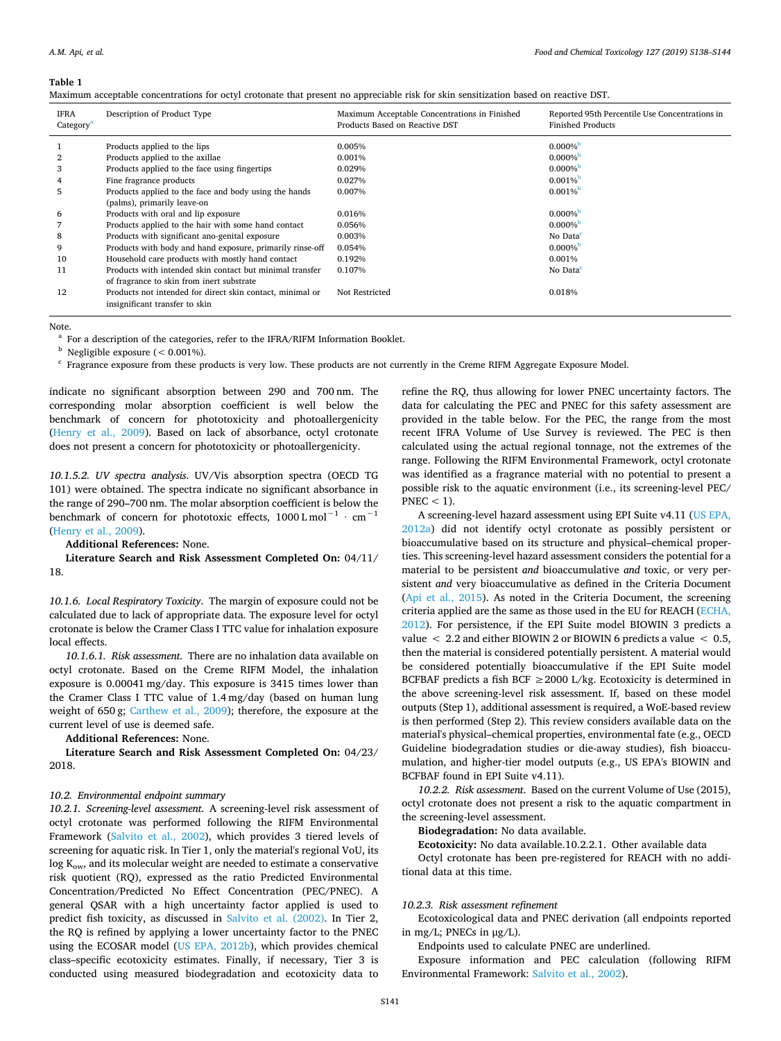#### <span id="page-3-0"></span>**Table 1**

| <b>IFRA</b><br>Category <sup>a</sup> | Description of Product Type                               | Maximum Acceptable Concentrations in Finished<br>Products Based on Reactive DST | Reported 95th Percentile Use Concentrations in<br><b>Finished Products</b> |
|--------------------------------------|-----------------------------------------------------------|---------------------------------------------------------------------------------|----------------------------------------------------------------------------|
|                                      | Products applied to the lips                              | 0.005%                                                                          | $0.000\%$                                                                  |
|                                      | Products applied to the axillae                           | 0.001%                                                                          | $0.000\%$                                                                  |
| 3                                    | Products applied to the face using fingertips             | 0.029%                                                                          | $0.000\%$                                                                  |
|                                      | Fine fragrance products                                   | 0.027%                                                                          | $0.001\%$                                                                  |
| 5                                    | Products applied to the face and body using the hands     | 0.007%                                                                          | $0.001\%$                                                                  |
|                                      | (palms), primarily leave-on                               |                                                                                 |                                                                            |
| 6                                    | Products with oral and lip exposure                       | 0.016%                                                                          | $0.000\%$                                                                  |
|                                      | Products applied to the hair with some hand contact       | 0.056%                                                                          | $0.000\%$                                                                  |
| 8                                    | Products with significant ano-genital exposure            | 0.003%                                                                          | No Data <sup>c</sup>                                                       |
| 9                                    | Products with body and hand exposure, primarily rinse-off | 0.054%                                                                          | $0.000\%$                                                                  |
| 10                                   | Household care products with mostly hand contact          | 0.192%                                                                          | 0.001%                                                                     |
| 11                                   | Products with intended skin contact but minimal transfer  | 0.107%                                                                          | No Data <sup>c</sup>                                                       |
|                                      | of fragrance to skin from inert substrate                 |                                                                                 |                                                                            |
| 12                                   | Products not intended for direct skin contact, minimal or | Not Restricted                                                                  | 0.018%                                                                     |
|                                      | insignificant transfer to skin                            |                                                                                 |                                                                            |
|                                      |                                                           |                                                                                 |                                                                            |

Note.

<span id="page-3-1"></span><sup>a</sup> For a description of the categories, refer to the IFRA/RIFM Information Booklet.

<span id="page-3-2"></span> $<sup>b</sup>$  Negligible exposure ( $< 0.001\%$ ).</sup>

<span id="page-3-3"></span><sup>c</sup> Fragrance exposure from these products is very low. These products are not currently in the Creme RIFM Aggregate Exposure Model.

indicate no significant absorption between 290 and 700 nm. The corresponding molar absorption coefficient is well below the benchmark of concern for phototoxicity and photoallergenicity ([Henry et al., 2009](#page-5-5)). Based on lack of absorbance, octyl crotonate does not present a concern for phototoxicity or photoallergenicity.

*10.1.5.2. UV spectra analysis*. UV/Vis absorption spectra (OECD TG 101) were obtained. The spectra indicate no significant absorbance in the range of 290–700 nm. The molar absorption coefficient is below the benchmark of concern for phototoxic effects,  $1000$  L mol<sup>-1</sup> ⋅ cm<sup>-1</sup> ([Henry et al., 2009\)](#page-5-5).

**Additional References:** None.

**Literature Search and Risk Assessment Completed On:** 04/11/ 18.

*10.1.6. Local Respiratory Toxicity*. The margin of exposure could not be calculated due to lack of appropriate data. The exposure level for octyl crotonate is below the Cramer Class I TTC value for inhalation exposure local effects.

*10.1.6.1. Risk assessment*. There are no inhalation data available on octyl crotonate. Based on the Creme RIFM Model, the inhalation exposure is 0.00041 mg/day. This exposure is 3415 times lower than the Cramer Class I TTC value of 1.4 mg/day (based on human lung weight of 650 g; [Carthew et al., 2009](#page-5-6)); therefore, the exposure at the current level of use is deemed safe.

**Additional References:** None.

**Literature Search and Risk Assessment Completed On:** 04/23/ 2018.

## *10.2. Environmental endpoint summary*

*10.2.1. Screening-level assessment*. A screening-level risk assessment of octyl crotonate was performed following the RIFM Environmental Framework ([Salvito et al., 2002](#page-6-5)), which provides 3 tiered levels of screening for aquatic risk. In Tier 1, only the material's regional VoU, its  $log K<sub>ow</sub>$ , and its molecular weight are needed to estimate a conservative risk quotient (RQ), expressed as the ratio Predicted Environmental Concentration/Predicted No Effect Concentration (PEC/PNEC). A general QSAR with a high uncertainty factor applied is used to predict fish toxicity, as discussed in [Salvito et al. \(2002\)](#page-6-5). In Tier 2, the RQ is refined by applying a lower uncertainty factor to the PNEC using the ECOSAR model [\(US EPA, 2012b\)](#page-6-14), which provides chemical class–specific ecotoxicity estimates. Finally, if necessary, Tier 3 is conducted using measured biodegradation and ecotoxicity data to

refine the RQ, thus allowing for lower PNEC uncertainty factors. The data for calculating the PEC and PNEC for this safety assessment are provided in the table below. For the PEC, the range from the most recent IFRA Volume of Use Survey is reviewed. The PEC is then calculated using the actual regional tonnage, not the extremes of the range. Following the RIFM Environmental Framework, octyl crotonate was identified as a fragrance material with no potential to present a possible risk to the aquatic environment (i.e., its screening-level PEC/  $PNEC < 1$ ).

A screening-level hazard assessment using EPI Suite v4.11 ([US EPA,](#page-6-4) [2012a\)](#page-6-4) did not identify octyl crotonate as possibly persistent or bioaccumulative based on its structure and physical–chemical properties. This screening-level hazard assessment considers the potential for a material to be persistent *and* bioaccumulative *and* toxic, or very persistent *and* very bioaccumulative as defined in the Criteria Document ([Api et al., 2015\)](#page-5-2). As noted in the Criteria Document, the screening criteria applied are the same as those used in the EU for REACH ([ECHA,](#page-5-7) [2012\)](#page-5-7). For persistence, if the EPI Suite model BIOWIN 3 predicts a value  $\langle 2.2 \text{ and either } B I O W I N 2 \text{ or } B I O W I N 6 \text{ predicts a value } \langle 0.5, 0.5 \rangle$ then the material is considered potentially persistent. A material would be considered potentially bioaccumulative if the EPI Suite model BCFBAF predicts a fish BCF  $\geq$  2000 L/kg. Ecotoxicity is determined in the above screening-level risk assessment. If, based on these model outputs (Step 1), additional assessment is required, a WoE-based review is then performed (Step 2). This review considers available data on the material's physical–chemical properties, environmental fate (e.g., OECD Guideline biodegradation studies or die-away studies), fish bioaccumulation, and higher-tier model outputs (e.g., US EPA's BIOWIN and BCFBAF found in EPI Suite v4.11).

*10.2.2. Risk assessment*. Based on the current Volume of Use (2015), octyl crotonate does not present a risk to the aquatic compartment in the screening-level assessment.

**Biodegradation:** No data available.

**Ecotoxicity:** No data available.10.2.2.1. Other available data Octyl crotonate has been pre-registered for REACH with no additional data at this time.

#### *10.2.3. Risk assessment refinement*

Ecotoxicological data and PNEC derivation (all endpoints reported in mg/L; PNECs in  $\mu$ g/L).

Endpoints used to calculate PNEC are underlined.

Exposure information and PEC calculation (following RIFM Environmental Framework: [Salvito et al., 2002](#page-6-5)).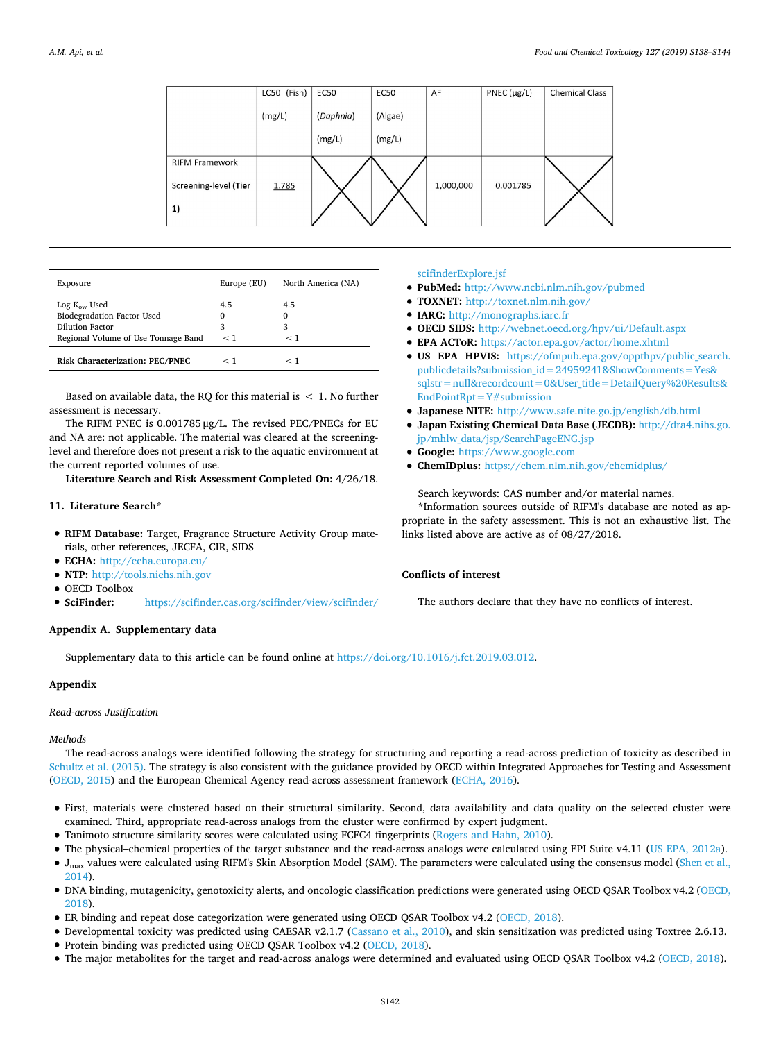|                       | LC50 (Fish) | <b>EC50</b> | <b>EC50</b> | AF        | $PNEC$ ( $\mu$ g/L) | <b>Chemical Class</b> |
|-----------------------|-------------|-------------|-------------|-----------|---------------------|-----------------------|
|                       | (mg/L)      | (Daphnia)   | (Algae)     |           |                     |                       |
|                       |             | (mg/L)      | (mg/L)      |           |                     |                       |
| <b>RIFM Framework</b> |             |             |             |           |                     |                       |
| Screening-level (Tier | 1.785       |             |             | 1,000,000 | 0.001785            |                       |
| 1)                    |             |             |             |           |                     |                       |
|                       |             |             |             |           |                     |                       |

| Exposure                                                                                                         | Europe (EU)                 | North America (NA)   |
|------------------------------------------------------------------------------------------------------------------|-----------------------------|----------------------|
| Log K <sub>ow</sub> Used<br>Biodegradation Factor Used<br>Dilution Factor<br>Regional Volume of Use Tonnage Band | 4.5<br>$\Omega$<br>3<br>< 1 | 4.5<br>0<br>3<br>< 1 |
| <b>Risk Characterization: PEC/PNEC</b>                                                                           | - 1                         | - 1                  |

Based on available data, the RQ for this material is  $\leq 1$ . No further assessment is necessary.

The RIFM PNEC is 0.001785 μg/L. The revised PEC/PNECs for EU and NA are: not applicable. The material was cleared at the screeninglevel and therefore does not present a risk to the aquatic environment at the current reported volumes of use.

**Literature Search and Risk Assessment Completed On:** 4/26/18.

## **11. Literature Search\***

- **RIFM Database:** Target, Fragrance Structure Activity Group materials, other references, JECFA, CIR, SIDS
- **ECHA:** <http://echa.europa.eu/>
- **NTP:** [http://tools.niehs.nih.gov](http://tools.niehs.nih.gov/)
- OECD Toolbox<br>• SciFinder:
- **SciFinder:** [https://scifinder.cas.org/scifinder/view/scifinder/](https://scifinder.cas.org/scifinder/view/scifinder/scifinderExplore.jsf)

## [scifinderExplore.jsf](https://scifinder.cas.org/scifinder/view/scifinder/scifinderExplore.jsf)

- **PubMed:** <http://www.ncbi.nlm.nih.gov/pubmed>
- **TOXNET:** <http://toxnet.nlm.nih.gov/>
- **IARC:** [http://monographs.iarc.fr](http://monographs.iarc.fr/)
- **OECD SIDS:** <http://webnet.oecd.org/hpv/ui/Default.aspx>
- **EPA ACToR:** <https://actor.epa.gov/actor/home.xhtml>
- **US EPA HPVIS:** [https://ofmpub.epa.gov/oppthpv/public\\_search.](https://ofmpub.epa.gov/oppthpv/public_search.publicdetails?submission_id=24959241&ShowComments=Yes&sqlstr=null&recordcount=0&User_title=DetailQuery%20Results&EndPointRpt=Y) [publicdetails?submission\\_id=24959241&ShowComments=Yes&](https://ofmpub.epa.gov/oppthpv/public_search.publicdetails?submission_id=24959241&ShowComments=Yes&sqlstr=null&recordcount=0&User_title=DetailQuery%20Results&EndPointRpt=Y) [sqlstr=null&recordcount=0&User\\_title=DetailQuery%20Results&](https://ofmpub.epa.gov/oppthpv/public_search.publicdetails?submission_id=24959241&ShowComments=Yes&sqlstr=null&recordcount=0&User_title=DetailQuery%20Results&EndPointRpt=Y) [EndPointRpt=Y#submission](https://ofmpub.epa.gov/oppthpv/public_search.publicdetails?submission_id=24959241&ShowComments=Yes&sqlstr=null&recordcount=0&User_title=DetailQuery%20Results&EndPointRpt=Y)
- **Japanese NITE:** <http://www.safe.nite.go.jp/english/db.html>
- **Japan Existing Chemical Data Base (JECDB):** [http://dra4.nihs.go.](http://dra4.nihs.go.jp/mhlw_data/jsp/SearchPageENG.jsp) [jp/mhlw\\_data/jsp/SearchPageENG.jsp](http://dra4.nihs.go.jp/mhlw_data/jsp/SearchPageENG.jsp)
- **Google:** [https://www.google.com](https://www.google.com/webhp?tab=ww&ei=KMSoUpiQK-arsQS324GwBg&ved=0CBQQ1S4)
- **ChemIDplus:** <https://chem.nlm.nih.gov/chemidplus/>

## Search keywords: CAS number and/or material names.

\*Information sources outside of RIFM's database are noted as appropriate in the safety assessment. This is not an exhaustive list. The links listed above are active as of 08/27/2018.

## **Conflicts of interest**

The authors declare that they have no conflicts of interest.

## **Appendix A. Supplementary data**

Supplementary data to this article can be found online at [https://doi.org/10.1016/j.fct.2019.03.012.](https://doi.org/10.1016/j.fct.2019.03.012)

## **Appendix**

#### *Read-across Justification*

## *Methods*

The read-across analogs were identified following the strategy for structuring and reporting a read-across prediction of toxicity as described in [Schultz et al. \(2015\)](#page-6-15). The strategy is also consistent with the guidance provided by OECD within Integrated Approaches for Testing and Assessment ([OECD, 2015](#page-6-16)) and the European Chemical Agency read-across assessment framework ([ECHA, 2016](#page-5-8)).

- First, materials were clustered based on their structural similarity. Second, data availability and data quality on the selected cluster were examined. Third, appropriate read-across analogs from the cluster were confirmed by expert judgment.
- Tanimoto structure similarity scores were calculated using FCFC4 fingerprints ([Rogers and Hahn, 2010](#page-6-17)).
- The physical–chemical properties of the target substance and the read-across analogs were calculated using EPI Suite v4.11 ([US EPA, 2012a\)](#page-6-4).
- J<sub>max</sub> values were calculated using RIFM's Skin Absorption Model (SAM). The parameters were calculated using the consensus model ([Shen et al.,](#page-6-18) [2014](#page-6-18)).
- DNA binding, mutagenicity, genotoxicity alerts, and oncologic classification predictions were generated using OECD QSAR Toolbox v4.2 [\(OECD,](#page-6-19) [2018](#page-6-19)).
- ER binding and repeat dose categorization were generated using OECD QSAR Toolbox v4.2 [\(OECD, 2018](#page-6-19)).
- Developmental toxicity was predicted using CAESAR v2.1.7 ([Cassano et al., 2010\)](#page-5-9), and skin sensitization was predicted using Toxtree 2.6.13.
- Protein binding was predicted using OECD QSAR Toolbox v4.2 [\(OECD, 2018\)](#page-6-19).
- The major metabolites for the target and read-across analogs were determined and evaluated using OECD QSAR Toolbox v4.2 [\(OECD, 2018](#page-6-19)).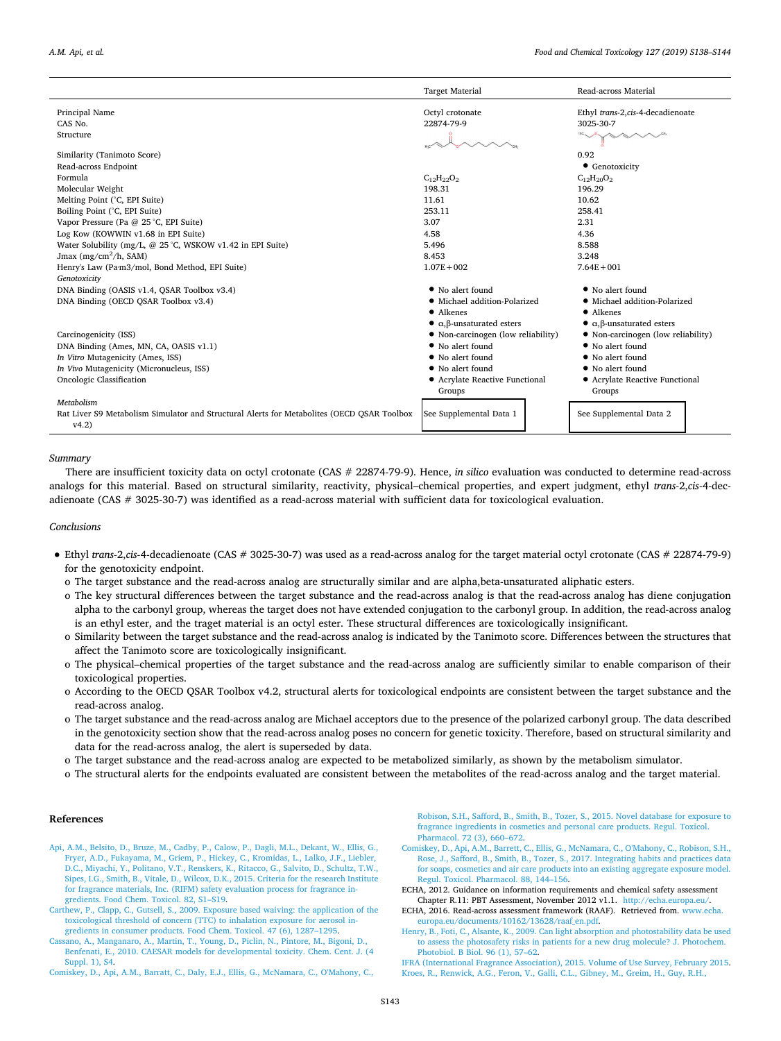|                                                                                                     | <b>Target Material</b>                           | Read-across Material                             |
|-----------------------------------------------------------------------------------------------------|--------------------------------------------------|--------------------------------------------------|
| Principal Name                                                                                      | Octyl crotonate                                  | Ethyl trans-2,cis-4-decadienoate                 |
| CAS No.                                                                                             | 22874-79-9                                       | 3025-30-7                                        |
| Structure                                                                                           |                                                  |                                                  |
| Similarity (Tanimoto Score)                                                                         |                                                  | 0.92                                             |
| Read-across Endpoint                                                                                |                                                  | • Genotoxicity                                   |
| Formula                                                                                             | $C_{12}H_{22}O_2$                                | $C_{12}H_{20}O_2$                                |
| Molecular Weight                                                                                    | 198.31                                           | 196.29                                           |
| Melting Point (°C, EPI Suite)                                                                       | 11.61                                            | 10.62                                            |
| Boiling Point (°C, EPI Suite)                                                                       | 253.11                                           | 258.41                                           |
| Vapor Pressure (Pa @ 25 °C, EPI Suite)                                                              | 3.07                                             | 2.31                                             |
| Log Kow (KOWWIN v1.68 in EPI Suite)                                                                 | 4.58                                             | 4.36                                             |
| Water Solubility (mg/L, @ 25 °C, WSKOW v1.42 in EPI Suite)                                          | 5.496                                            | 8.588                                            |
| Jmax (mg/cm <sup>2</sup> /h, SAM)                                                                   | 8.453                                            | 3.248                                            |
| Henry's Law (Pa·m3/mol, Bond Method, EPI Suite)                                                     | $1.07E + 002$                                    | $7.64E + 001$                                    |
| Genotoxicity                                                                                        |                                                  |                                                  |
| DNA Binding (OASIS v1.4, QSAR Toolbox v3.4)                                                         | • No alert found                                 | • No alert found                                 |
| DNA Binding (OECD OSAR Toolbox v3.4)                                                                | • Michael addition-Polarized                     | · Michael addition-Polarized                     |
|                                                                                                     | • Alkenes                                        | • Alkenes                                        |
|                                                                                                     | $\bullet$ $\alpha$ , $\beta$ -unsaturated esters | $\bullet$ $\alpha$ , $\beta$ -unsaturated esters |
| Carcinogenicity (ISS)                                                                               | • Non-carcinogen (low reliability)               | • Non-carcinogen (low reliability)               |
| DNA Binding (Ames, MN, CA, OASIS v1.1)                                                              | • No alert found                                 | • No alert found                                 |
| In Vitro Mutagenicity (Ames, ISS)                                                                   | • No alert found                                 | • No alert found                                 |
| In Vivo Mutagenicity (Micronucleus, ISS)                                                            | • No alert found                                 | • No alert found                                 |
| Oncologic Classification                                                                            | • Acrylate Reactive Functional<br>Groups         | • Acrylate Reactive Functional<br>Groups         |
| Metabolism                                                                                          |                                                  |                                                  |
| Rat Liver S9 Metabolism Simulator and Structural Alerts for Metabolites (OECD OSAR Toolbox<br>v4.2) | See Supplemental Data 1                          | See Supplemental Data 2                          |

#### *Summary*

There are insufficient toxicity data on octyl crotonate (CAS # 22874-79-9). Hence, *in silico* evaluation was conducted to determine read-across analogs for this material. Based on structural similarity, reactivity, physical–chemical properties, and expert judgment, ethyl *trans-*2,*cis-*4-decadienoate (CAS # 3025-30-7) was identified as a read-across material with sufficient data for toxicological evaluation.

## *Conclusions*

- Ethyl *trans-*2,*cis-*4-decadienoate (CAS # 3025-30-7) was used as a read-across analog for the target material octyl crotonate (CAS # 22874-79-9) for the genotoxicity endpoint.
	- o The target substance and the read-across analog are structurally similar and are alpha,beta-unsaturated aliphatic esters.
	- o The key structural differences between the target substance and the read-across analog is that the read-across analog has diene conjugation alpha to the carbonyl group, whereas the target does not have extended conjugation to the carbonyl group. In addition, the read-across analog is an ethyl ester, and the traget material is an octyl ester. These structural differences are toxicologically insignificant.
	- o Similarity between the target substance and the read-across analog is indicated by the Tanimoto score. Differences between the structures that affect the Tanimoto score are toxicologically insignificant.
	- o The physical–chemical properties of the target substance and the read-across analog are sufficiently similar to enable comparison of their toxicological properties.
	- o According to the OECD QSAR Toolbox v4.2, structural alerts for toxicological endpoints are consistent between the target substance and the read-across analog.
	- o The target substance and the read-across analog are Michael acceptors due to the presence of the polarized carbonyl group. The data described in the genotoxicity section show that the read-across analog poses no concern for genetic toxicity. Therefore, based on structural similarity and data for the read-across analog, the alert is superseded by data.
	- o The target substance and the read-across analog are expected to be metabolized similarly, as shown by the metabolism simulator.
	- o The structural alerts for the endpoints evaluated are consistent between the metabolites of the read-across analog and the target material.

## **References**

- <span id="page-5-2"></span>[Api, A.M., Belsito, D., Bruze, M., Cadby, P., Calow, P., Dagli, M.L., Dekant, W., Ellis, G.,](http://refhub.elsevier.com/S0278-6915(19)30116-4/sref1) [Fryer, A.D., Fukayama, M., Griem, P., Hickey, C., Kromidas, L., Lalko, J.F., Liebler,](http://refhub.elsevier.com/S0278-6915(19)30116-4/sref1) [D.C., Miyachi, Y., Politano, V.T., Renskers, K., Ritacco, G., Salvito, D., Schultz, T.W.,](http://refhub.elsevier.com/S0278-6915(19)30116-4/sref1) [Sipes, I.G., Smith, B., Vitale, D., Wilcox, D.K., 2015. Criteria for the research Institute](http://refhub.elsevier.com/S0278-6915(19)30116-4/sref1) [for fragrance materials, Inc. \(RIFM\) safety evaluation process for fragrance in](http://refhub.elsevier.com/S0278-6915(19)30116-4/sref1)[gredients. Food Chem. Toxicol. 82, S1–S19](http://refhub.elsevier.com/S0278-6915(19)30116-4/sref1).
- <span id="page-5-6"></span>[Carthew, P., Clapp, C., Gutsell, S., 2009. Exposure based waiving: the application of the](http://refhub.elsevier.com/S0278-6915(19)30116-4/sref2) [toxicological threshold of concern \(TTC\) to inhalation exposure for aerosol in](http://refhub.elsevier.com/S0278-6915(19)30116-4/sref2)[gredients in consumer products. Food Chem. Toxicol. 47 \(6\), 1287–1295](http://refhub.elsevier.com/S0278-6915(19)30116-4/sref2).
- <span id="page-5-9"></span>[Cassano, A., Manganaro, A., Martin, T., Young, D., Piclin, N., Pintore, M., Bigoni, D.,](http://refhub.elsevier.com/S0278-6915(19)30116-4/sref3) [Benfenati, E., 2010. CAESAR models for developmental toxicity. Chem. Cent. J. \(4](http://refhub.elsevier.com/S0278-6915(19)30116-4/sref3) [Suppl. 1\), S4](http://refhub.elsevier.com/S0278-6915(19)30116-4/sref3).
- <span id="page-5-0"></span>[Comiskey, D., Api, A.M., Barratt, C., Daly, E.J., Ellis, G., McNamara, C., O'Mahony, C.,](http://refhub.elsevier.com/S0278-6915(19)30116-4/sref4)

[Robison, S.H., Safford, B., Smith, B., Tozer, S., 2015. Novel database for exposure to](http://refhub.elsevier.com/S0278-6915(19)30116-4/sref4) [fragrance ingredients in cosmetics and personal care products. Regul. Toxicol.](http://refhub.elsevier.com/S0278-6915(19)30116-4/sref4) [Pharmacol. 72 \(3\), 660–672.](http://refhub.elsevier.com/S0278-6915(19)30116-4/sref4)

- <span id="page-5-1"></span>[Comiskey, D., Api, A.M., Barrett, C., Ellis, G., McNamara, C., O'Mahony, C., Robison, S.H.,](http://refhub.elsevier.com/S0278-6915(19)30116-4/sref5) [Rose, J., Safford, B., Smith, B., Tozer, S., 2017. Integrating habits and practices data](http://refhub.elsevier.com/S0278-6915(19)30116-4/sref5) [for soaps, cosmetics and air care products into an existing aggregate exposure model.](http://refhub.elsevier.com/S0278-6915(19)30116-4/sref5) [Regul. Toxicol. Pharmacol. 88, 144–156](http://refhub.elsevier.com/S0278-6915(19)30116-4/sref5).
- <span id="page-5-7"></span>ECHA, 2012. Guidance on information requirements and chemical safety assessment Chapter R.11: PBT Assessment, November 2012 v1.1. [http://echa.europa.eu/.](http://echa.europa.eu/)
- <span id="page-5-8"></span>ECHA, 2016. Read-across assessment framework (RAAF). Retrieved from. [www.echa.](http://www.echa.europa.eu/documents/10162/13628/raaf_en.pdf) [europa.eu/documents/10162/13628/raaf\\_en.pdf](http://www.echa.europa.eu/documents/10162/13628/raaf_en.pdf).
- <span id="page-5-5"></span>[Henry, B., Foti, C., Alsante, K., 2009. Can light absorption and photostability data be used](http://refhub.elsevier.com/S0278-6915(19)30116-4/sref8) [to assess the photosafety risks in patients for a new drug molecule? J. Photochem.](http://refhub.elsevier.com/S0278-6915(19)30116-4/sref8) [Photobiol. B Biol. 96 \(1\), 57–62.](http://refhub.elsevier.com/S0278-6915(19)30116-4/sref8)
- <span id="page-5-4"></span><span id="page-5-3"></span>[IFRA \(International Fragrance Association\), 2015. Volume of Use Survey, February 2015.](http://refhub.elsevier.com/S0278-6915(19)30116-4/sref9) [Kroes, R., Renwick, A.G., Feron, V., Galli, C.L., Gibney, M., Greim, H., Guy, R.H.,](http://refhub.elsevier.com/S0278-6915(19)30116-4/sref10)